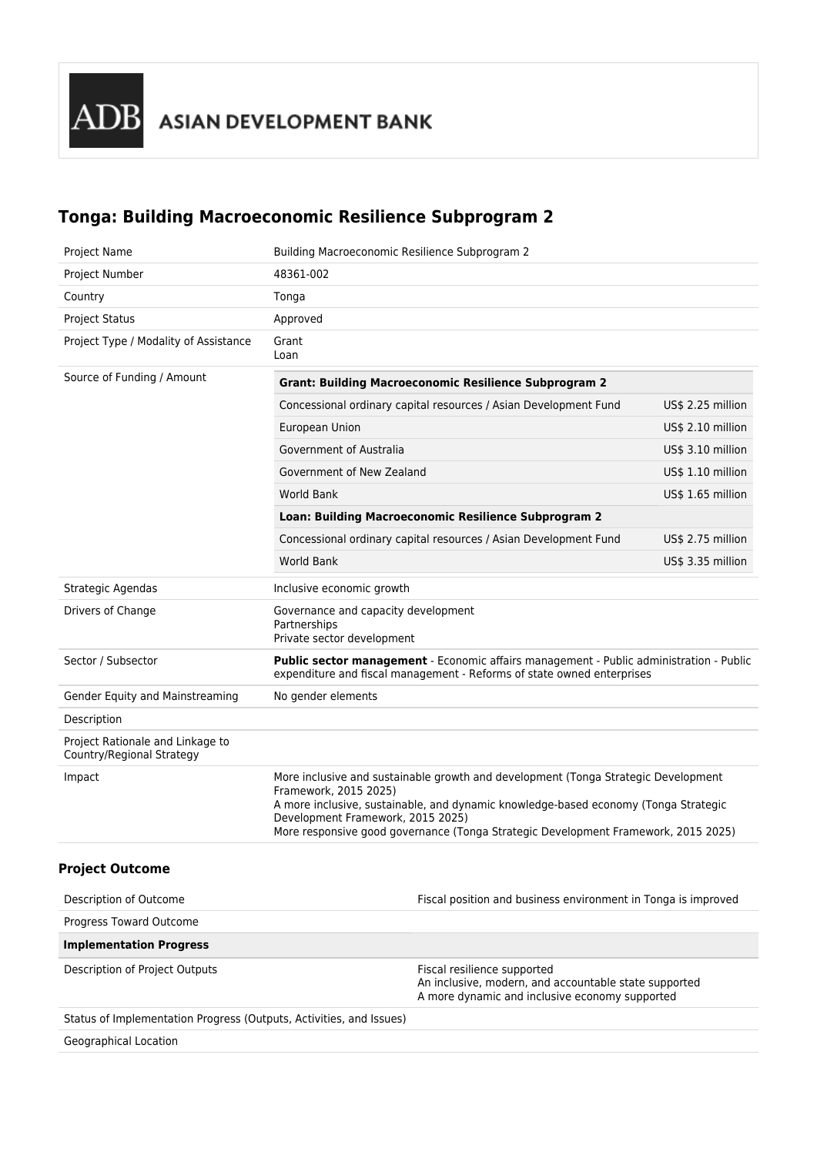# **Tonga: Building Macroeconomic Resilience Subprogram 2**

| Project Name                                                        | Building Macroeconomic Resilience Subprogram 2                                                                                                                                                                                                                                                                                |                   |  |
|---------------------------------------------------------------------|-------------------------------------------------------------------------------------------------------------------------------------------------------------------------------------------------------------------------------------------------------------------------------------------------------------------------------|-------------------|--|
| Project Number                                                      | 48361-002                                                                                                                                                                                                                                                                                                                     |                   |  |
| Country                                                             | Tonga                                                                                                                                                                                                                                                                                                                         |                   |  |
| <b>Project Status</b>                                               | Approved                                                                                                                                                                                                                                                                                                                      |                   |  |
| Project Type / Modality of Assistance                               | Grant<br>Loan                                                                                                                                                                                                                                                                                                                 |                   |  |
| Source of Funding / Amount                                          | <b>Grant: Building Macroeconomic Resilience Subprogram 2</b>                                                                                                                                                                                                                                                                  |                   |  |
|                                                                     | Concessional ordinary capital resources / Asian Development Fund                                                                                                                                                                                                                                                              | US\$ 2.25 million |  |
|                                                                     | European Union                                                                                                                                                                                                                                                                                                                | US\$ 2.10 million |  |
|                                                                     | Government of Australia                                                                                                                                                                                                                                                                                                       | US\$ 3.10 million |  |
|                                                                     | Government of New Zealand                                                                                                                                                                                                                                                                                                     | US\$ 1.10 million |  |
|                                                                     | <b>World Bank</b>                                                                                                                                                                                                                                                                                                             | US\$ 1.65 million |  |
|                                                                     | Loan: Building Macroeconomic Resilience Subprogram 2                                                                                                                                                                                                                                                                          |                   |  |
|                                                                     | Concessional ordinary capital resources / Asian Development Fund                                                                                                                                                                                                                                                              | US\$ 2.75 million |  |
|                                                                     | <b>World Bank</b>                                                                                                                                                                                                                                                                                                             | US\$ 3.35 million |  |
| Strategic Agendas                                                   | Inclusive economic growth                                                                                                                                                                                                                                                                                                     |                   |  |
| Drivers of Change                                                   | Governance and capacity development<br>Partnerships<br>Private sector development                                                                                                                                                                                                                                             |                   |  |
| Sector / Subsector                                                  | Public sector management - Economic affairs management - Public administration - Public<br>expenditure and fiscal management - Reforms of state owned enterprises                                                                                                                                                             |                   |  |
| Gender Equity and Mainstreaming                                     | No gender elements                                                                                                                                                                                                                                                                                                            |                   |  |
| Description                                                         |                                                                                                                                                                                                                                                                                                                               |                   |  |
|                                                                     |                                                                                                                                                                                                                                                                                                                               |                   |  |
| Project Rationale and Linkage to<br>Country/Regional Strategy       |                                                                                                                                                                                                                                                                                                                               |                   |  |
| Impact                                                              | More inclusive and sustainable growth and development (Tonga Strategic Development<br>Framework, 2015 2025)<br>A more inclusive, sustainable, and dynamic knowledge-based economy (Tonga Strategic<br>Development Framework, 2015 2025)<br>More responsive good governance (Tonga Strategic Development Framework, 2015 2025) |                   |  |
| <b>Project Outcome</b>                                              |                                                                                                                                                                                                                                                                                                                               |                   |  |
| Description of Outcome                                              | Fiscal position and business environment in Tonga is improved                                                                                                                                                                                                                                                                 |                   |  |
| Progress Toward Outcome                                             |                                                                                                                                                                                                                                                                                                                               |                   |  |
| <b>Implementation Progress</b>                                      |                                                                                                                                                                                                                                                                                                                               |                   |  |
| Description of Project Outputs                                      | Fiscal resilience supported<br>An inclusive, modern, and accountable state supported<br>A more dynamic and inclusive economy supported                                                                                                                                                                                        |                   |  |
| Status of Implementation Progress (Outputs, Activities, and Issues) |                                                                                                                                                                                                                                                                                                                               |                   |  |